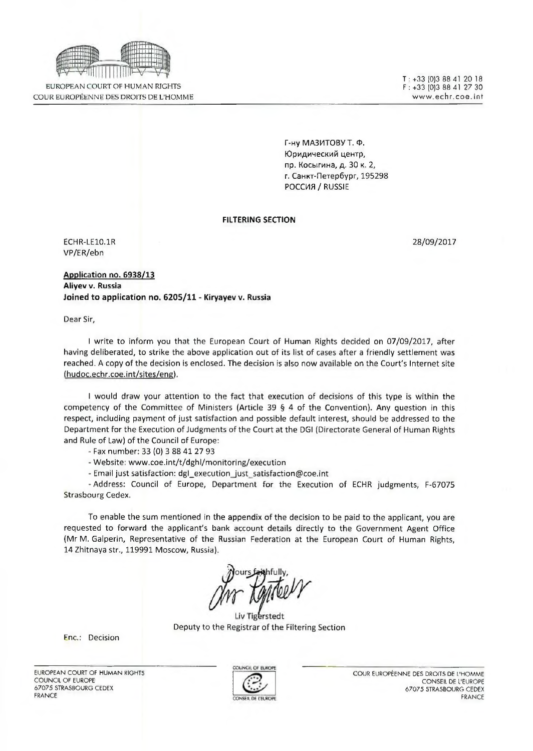

EUROPEAN COURT OF HUMAN RIGHTS COUR EUROPEENNE DES DROITS DE L'HOMME **T: +33 [0]3 88 41 20 18 F** : +33 (0)3 88 41 27 30 **[w w w . e c h r . c o c .](http://www.echr.coc) in t**

Г-ну МАЗИТОВУТ. Ф. Юридический центр, пр. Косыгина, д. 30 к. 2, г. Санкт-Петербург, 19529В РОССИЯ / RUSSIE

#### **FILTERING SECTION**

ECHR-LE10.1R 28/09/2017 VP/ER/ebn

**Application no. 6938/13 Aliyev v. Russia Joined to application no. 6205/11 - Kiryayev v. Russia**

Dear Sir,

I write to inform you that the European Court of Human Rights decided on 07/09/2017, after having deliberated, to strike the above application out of its list of cases after a friendly settlement was reached. A copy of the decision is enclosed. The decision is also now available on the Court's Internet site (hudoc.echr.coe.int/sites/ene),

I would draw your attention to the fact that execution of decisions of this type is within the competency of the Committee of Ministers (Article 39 § 4 of the Convention). Any question in this respect, including payment of just satisfaction and possible default interest, should be addressed to the Department for the Execution of Judgments of the Court at the DGI (Directorate General of Human Rights and Rule of Law) of the Council of Europe:

- Fax number: 33 (0) 3 88 41 27 93

- Website: [www.coe.int/t/dghl/monitoring/execution](http://www.coe.int/t/dghl/monitoring/execution)

- Email just satisfaction: dgl\_execution\_just\_satisfaction@coe.int

• Address: Council of Europe, Department for the Execution of ECHR judgments, F-67075 Strasbourg Cedex.

To enable the sum mentioned in the appendix of the decision to be paid to the applicant, you are requested to forward the applicant's bank account details directly to the Government Agent Office (Mr M. Galperin, Representative of the Russian Federation at the European Court of Human Rights, 14 Zhitnaya str., 119991 Moscow, Russia).

Liv Tigerstedt Deputy to the Registrar of the Filtering Section

Fnc.: Decision

EUROPEAN COURT OF HUMAN RIGHTS COUNCIL OF EUROPE 67075 STRASBOURG CEDEX FRANCE



COUR EUROPEENNE DES DROITS DF L'HOMME CONSEIL DE L'EUROPE 67075 STRASBOURG CEDEX FRANCE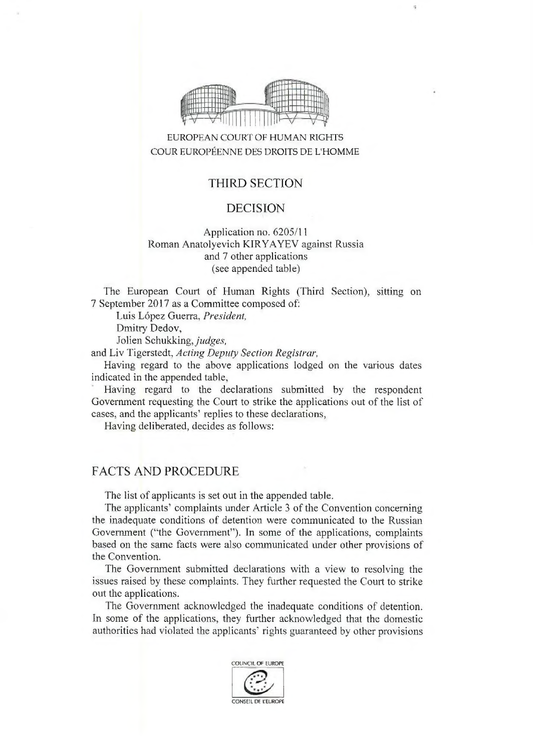

# EUROPEAN COURT OF HUMAN RIGHTS COUR EUROPÉENNE DES DROITS DE L'HOMME

## THIRD SECTION

#### DECISION

### Application no. 6205/11 Roman Anatolyevich KIRYAYFV against Russia and 7 other applications (see appended table)

The European Court of Human Rights (Third Section), sitting on 7 September 2017 as a Committee composed of:

Luis López Guerra, President,

Dmitry Dedov,

Jolien Schukking, *judges,*

and Liv Tigerstedt, *Acting Deputy Section Registrar,*

Having regard to the above applications lodged on the various dates indicated in the appended table.

Having regard to the declarations submitted by the respondent Government requesting the Court to strike the applications out of the list of cases, and the applicants' replies to these declarations,

Having deliberated, decides as follows:

## FACTS AND PROCEDURE

The list of applicants is set out in the appended table.

The applicants' complaints under Article 3 of the Convention concerning the inadequate conditions of detention were communicated to the Russian Government ("the Government"). In some of the applications, complaints based on the same facts were also communicated under other provisions of the Convention.

The Government submitted declarations with a view to resolving the issues raised by these complaints. They further requested the Court to strike out the applications.

The Government acknowledged the inadequate conditions of detention. In some of the applications, they further acknowledged that the domestic authorities had violated the applicants' rights guaranteed by other provisions

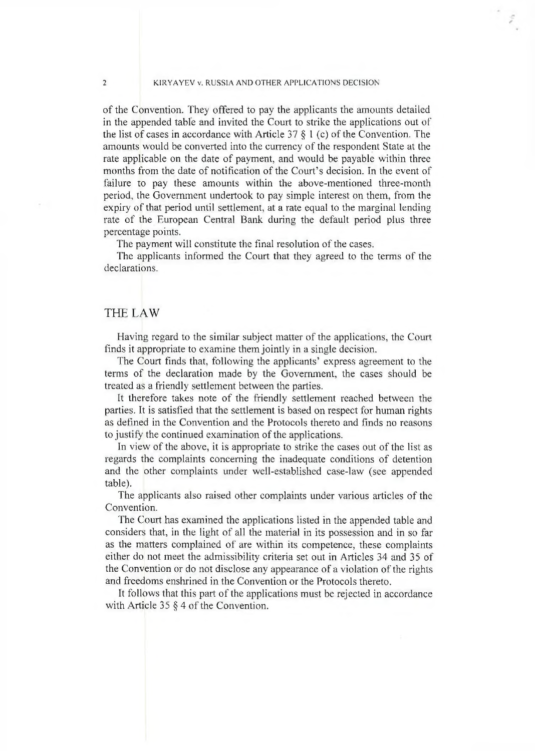#### 2 KIRYAYEV v. RUSSIA AND OTHER APPLICATIONS DECISION

of the Convention. They offered to pay the applicants the amounts detailed in the appended table and invited the Court to strike the applications out of the list of cases in accordance with Article 37  $\S$  1 (c) of the Convention. The amounts would be converted into the currency of the respondent State at the rate applicable on the date of payment, and would be payable within three months from the date of notification of the Court's decision. In the event of failure to pay these amounts within the above-mentioned three-month period, the Government undertook to pay simple interest on them, from the expiry of that period until settlement, at a rate equal to the marginal lending rate of the European Central Bank during the default period plus three percentage points.

The payment will constitute the final resolution of the cases.

The applicants informed the Court that they agreed to the terms of the declarations.

#### THE LAW

Having regard to the similar subject matter of the applications, the Court finds it appropriate to examine them jointly in a single decision.

The Court finds that, following the applicants' express agreement to the terms of the declaration made by the Government, the cases should be treated as a friendly settlement between the parties.

It therefore takes note of the friendly settlement reached between the parties. It is satisfied that the settlement is based on respect for human rights as defined in the Convention and the Protocols thereto and finds no reasons to justify the continued examination of the applications.

In view of the above, it is appropriate to strike the cases out of the list as regards the complaints concerning the inadequate conditions of detention and the other complaints under well-established case-law (see appended table).

The applicants also raised other complaints under various articles of the Convention.

The Court has examined the applications listed in the appended table and considers that, in the light of all the material in its possession and in so far as the matters complained of are within its competence, these complaints either do not meet the admissibility criteria set out in Articles 34 and 35 of the Convention or do not disclose any appearance of a violation of the rights and freedoms enshrined in the Convention or the Protocols thereto.

It follows that this part of the applications must be rejected in accordance with Article 35 § 4 of the Convention.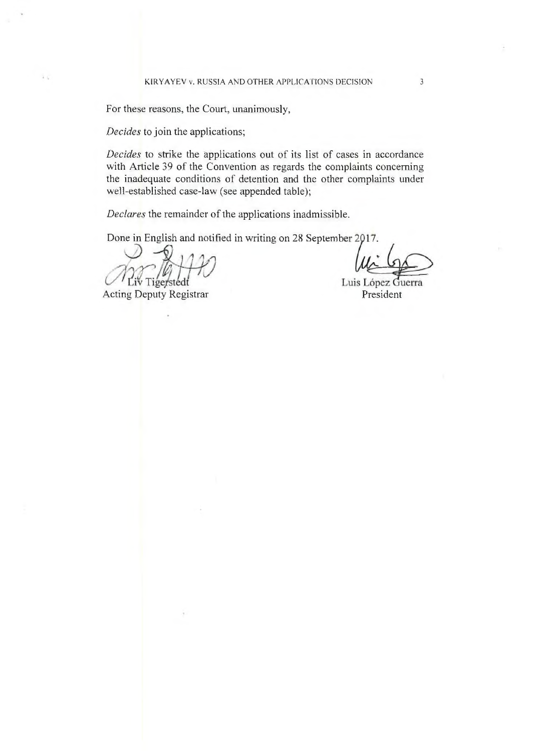For these reasons, the Court, unanimously,

*Decides* to join the applications;

 $\overline{\mathbf{r}}$  .

*Decides* to strike the applications out of its list of eases in accordance with Article 39 of the Convention as regards the complaints concerning the inadequate conditions of detention and the other complaints under well-established case-law (see appended table);

*Declares* the remainder of the applications inadmissible.

Done in English and notified in writing on 28 September 2017.

Liv Tigerstedt

Acting Deputy Registrar **President** President

Luis López Guerra